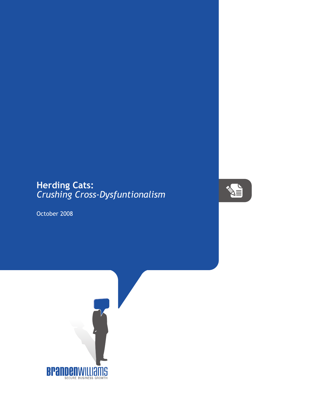## **Herding Cats:** *Crushing Cross-Dysfuntionalism*



October 2008

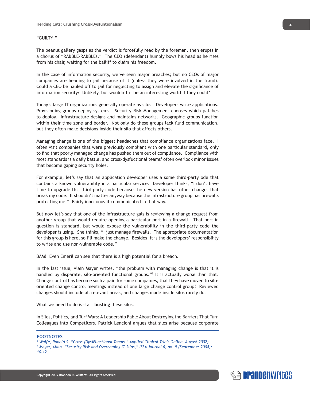## "GUILTY!"

The peanut gallery gasps as the verdict is forcefully read by the foreman, then erupts in a chorus of "RABBLE-RABBLEs." The CEO (defendant) humbly bows his head as he rises from his chair, waiting for the bailiff to claim his freedom.

In the case of information security, we've seen major breaches; but no CEOs of major companies are heading to jail because of it (unless they were involved in the fraud). Could a CEO be hauled off to jail for neglecting to assign and elevate the significance of information security? Unlikely, but wouldn't it be an interesting world if they could?

Today's large IT organizations generally operate as silos. Developers write applications. Provisioning groups deploy systems. Security Risk Management chooses which patches to deploy. Infrastructure designs and maintains networks. Geographic groups function within their time zone and border. Not only do these groups lack fluid communication, but they often make decisions inside their silo that affects others.

Managing change is one of the biggest headaches that compliance organizations face. I often visit companies that were previously compliant with one particular standard, only to find that poorly managed change has pushed them out of compliance. Compliance with most standards is a daily battle, and cross-dysfuctional teams<sup>1</sup> often overlook minor issues that become gaping security holes.

For example, let's say that an application developer uses a some third-party ode that contains a known vulnerability in a particular service. Developer thinks, "I don't have time to upgrade this third-party code because the new version has other changes that break my code. It shouldn't matter anyway because the infrastructure group has firewalls protecting me." Fairly innocuous if communicated in that way.

But now let's say that one of the infrastructure gals is reviewing a change request from another group that would require opening a particular port in a firewall. That port in question is standard, but would expose the vulnerability in the third-party code the developer is using. She thinks, "I just manage firewalls. The appropriate documentation for this group is here, so I'll make the change. Besides, it is the developers' responsibility to write and use non-vulnerable code."

BAM! Even Emeril can see that there is a high potential for a breach.

In the last issue, Alain Mayer writes, "the problem with managing change is that it is handled by disparate, silo-oriented functional groups."<sup>2</sup> It is actually worse than that. Change control has become such a pain for some companies, that they have moved to silooriented change control meetings instead of one large change control group! Reviewed changes should include all relevant areas, and changes made inside silos rarely do.

What we need to do is start **busting** these silos.

In Silos, Politics, and Turf Wars: A Leadership Fable About Destroying the Barriers That Turn Colleagues into Competitors, Patrick Lencioni argues that silos arise because corporate

## **FOOTNOTES**

<sup>1</sup> Waife, Ronald S. "Cross-(Dys)Functional Teams." Applied Clinical Trials Online, August 2002).



*<sup>2</sup> Mayer, Alain. "Security Risk and Overcoming IT Silos," ISSA Journal 6, no. 9 (September 2008): 10-12.*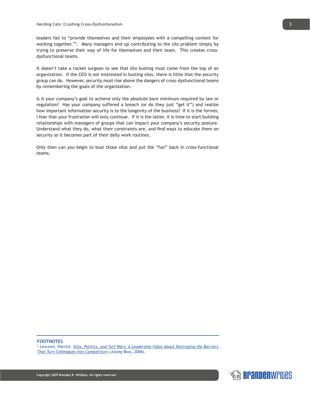leaders fail to "provide themselves and their employees with a compelling context for working together."3 . Many managers end up contributing to the silo problem simply by trying to preserve their way of life for themselves and their team. This creates crossdysfunctional teams.

It doesn't take a rocket surgeon to see that silo busting must come from the top of an organization. If the CEO is not interested in busting silos, there is little that the security group can do. However, security must rise above the dangers of cross-dysfunctional teams by remembering the goals of the organization.

Is it your company's goal to achieve only the absolute bare minimum required by law or regulation? Has your company suffered a breach (or do they just "get it") and realize how important information security is to the longevity of the business? If it is the former, I fear that your frustration will only continue. If it is the latter, it is time to start building relationships with managers of groups that can impact your company's security posture. Understand what they do, what their constraints are, and find ways to educate them on security so it becomes part of their daily work routines.

Only then can you begin to bust those silos and put the "fun" back in cross-functional teams.

**FOOTNOTES**

*3 Lencioni, Patrick. Silos, Politics, and Turf Wars: A Leadership Fable About Destroying the Barriers That Turn Colleagues into Competitors (Jossey-Bass, 2006).*